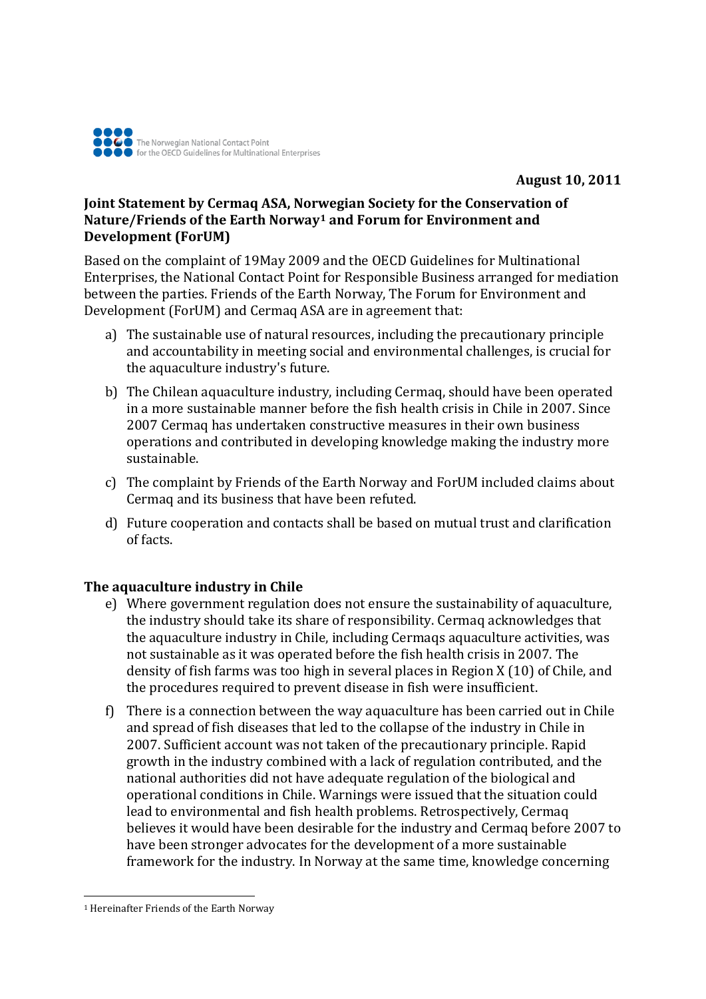

## **Joint Statement by Cermaq ASA, Norwegian Society for the Conservation of Nature/Friends of the Earth Norway[1](#page-0-0) and Forum for Environment and Development (ForUM)**

Based on the complaint of 19May 2009 and the OECD Guidelines for Multinational Enterprises, the National Contact Point for Responsible Business arranged for mediation between the parties. Friends of the Earth Norway, The Forum for Environment and Development (ForUM) and Cermaq ASA are in agreement that:

- a) The sustainable use of natural resources, including the precautionary principle and accountability in meeting social and environmental challenges, is crucial for the aquaculture industry's future.
- b) The Chilean aquaculture industry, including Cermaq, should have been operated in a more sustainable manner before the fish health crisis in Chile in 2007. Since 2007 Cermaq has undertaken constructive measures in their own business operations and contributed in developing knowledge making the industry more sustainable.
- c) The complaint by Friends of the Earth Norway and ForUM included claims about Cermaq and its business that have been refuted.
- d) Future cooperation and contacts shall be based on mutual trust and clarification of facts.

## **The aquaculture industry in Chile**

- e) Where government regulation does not ensure the sustainability of aquaculture, the industry should take its share of responsibility. Cermaq acknowledges that the aquaculture industry in Chile, including Cermaqs aquaculture activities, was not sustainable as it was operated before the fish health crisis in 2007. The density of fish farms was too high in several places in Region X (10) of Chile, and the procedures required to prevent disease in fish were insufficient.
- f) There is a connection between the way aquaculture has been carried out in Chile and spread of fish diseases that led to the collapse of the industry in Chile in 2007. Sufficient account was not taken of the precautionary principle. Rapid growth in the industry combined with a lack of regulation contributed, and the national authorities did not have adequate regulation of the biological and operational conditions in Chile. Warnings were issued that the situation could lead to environmental and fish health problems. Retrospectively, Cermaq believes it would have been desirable for the industry and Cermaq before 2007 to have been stronger advocates for the development of a more sustainable framework for the industry. In Norway at the same time, knowledge concerning

<span id="page-0-0"></span><sup>1</sup> Hereinafter Friends of the Earth Norway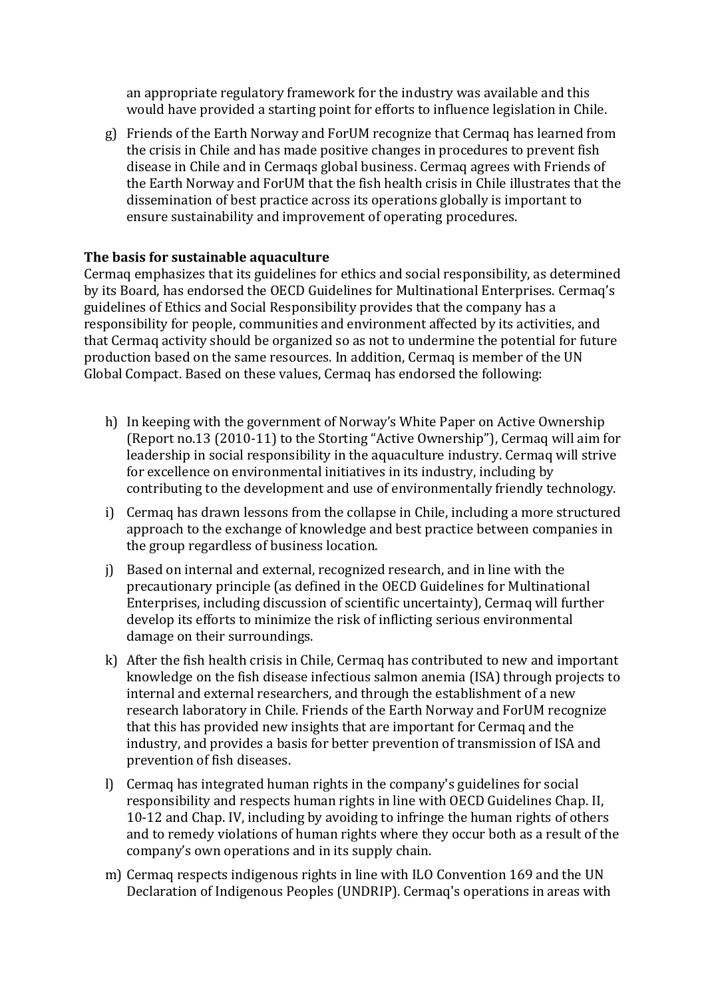an appropriate regulatory framework for the industry was available and this would have provided a starting point for efforts to influence legislation in Chile.

g) Friends of the Earth Norway and ForUM recognize that Cermaq has learned from the crisis in Chile and has made positive changes in procedures to prevent fish disease in Chile and in Cermaqs global business. Cermaq agrees with Friends of the Earth Norway and ForUM that the fish health crisis in Chile illustrates that the dissemination of best practice across its operations globally is important to ensure sustainability and improvement of operating procedures.

## **The basis for sustainable aquaculture**

Cermaq emphasizes that its guidelines for ethics and social responsibility, as determined by its Board, has endorsed the OECD Guidelines for Multinational Enterprises. Cermaq's guidelines of Ethics and Social Responsibility provides that the company has a responsibility for people, communities and environment affected by its activities, and that Cermaq activity should be organized so as not to undermine the potential for future production based on the same resources. In addition, Cermaq is member of the UN Global Compact. Based on these values, Cermaq has endorsed the following:

- h) In keeping with the government of Norway's White Paper on Active Ownership (Report no.13 (2010-11) to the Storting "Active Ownership"), Cermaq will aim for leadership in social responsibility in the aquaculture industry. Cermaq will strive for excellence on environmental initiatives in its industry, including by contributing to the development and use of environmentally friendly technology.
- i) Cermaq has drawn lessons from the collapse in Chile, including a more structured approach to the exchange of knowledge and best practice between companies in the group regardless of business location.
- j) Based on internal and external, recognized research, and in line with the precautionary principle (as defined in the OECD Guidelines for Multinational Enterprises, including discussion of scientific uncertainty), Cermaq will further develop its efforts to minimize the risk of inflicting serious environmental damage on their surroundings.
- k) After the fish health crisis in Chile, Cermaq has contributed to new and important knowledge on the fish disease infectious salmon anemia (ISA) through projects to internal and external researchers, and through the establishment of a new research laboratory in Chile. Friends of the Earth Norway and ForUM recognize that this has provided new insights that are important for Cermaq and the industry, and provides a basis for better prevention of transmission of ISA and prevention of fish diseases.
- l) Cermaq has integrated human rights in the company's guidelines for social responsibility and respects human rights in line with OECD Guidelines Chap. II, 10-12 and Chap. IV, including by avoiding to infringe the human rights of others and to remedy violations of human rights where they occur both as a result of the company's own operations and in its supply chain.
- m) Cermaq respects indigenous rights in line with ILO Convention 169 and the UN Declaration of Indigenous Peoples (UNDRIP). Cermaq's operations in areas with